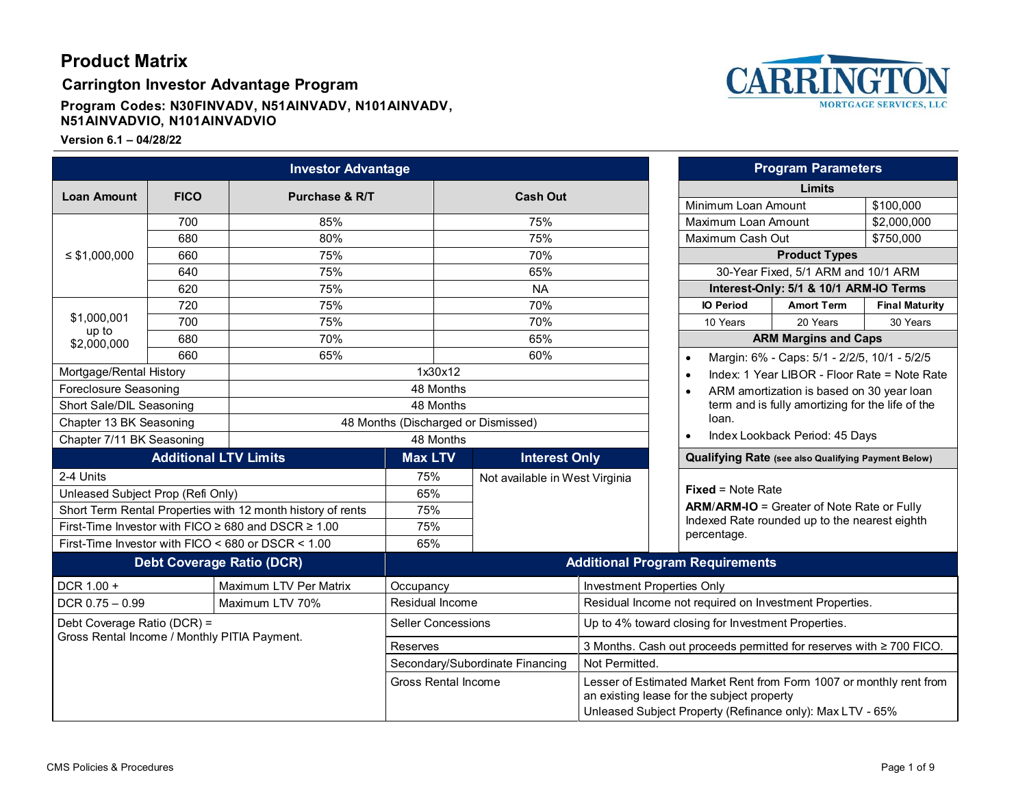**Carrington Investor Advantage Program**

**Program Codes: N30FINVADV, N51AINVADV, N101AINVADV, N51AINVADVIO, N101AINVADVIO**

<span id="page-0-0"></span>

|                                                                             |     | <b>Investor Advantage</b>    |                                        |                                                                     |                                                                                                                                                                                |                                     |                                                              | <b>Program Parameters</b>                    |                       |
|-----------------------------------------------------------------------------|-----|------------------------------|----------------------------------------|---------------------------------------------------------------------|--------------------------------------------------------------------------------------------------------------------------------------------------------------------------------|-------------------------------------|--------------------------------------------------------------|----------------------------------------------|-----------------------|
| <b>FICO</b><br><b>Loan Amount</b><br><b>Purchase &amp; R/T</b>              |     |                              | <b>Cash Out</b>                        |                                                                     | Limits                                                                                                                                                                         |                                     |                                                              |                                              |                       |
|                                                                             |     |                              |                                        |                                                                     |                                                                                                                                                                                |                                     | Minimum Loan Amount                                          |                                              | \$100,000             |
|                                                                             | 700 | 85%                          |                                        |                                                                     | 75%                                                                                                                                                                            |                                     | Maximum Loan Amount                                          |                                              | \$2,000,000           |
| $\leq$ \$1,000,000                                                          | 680 | 80%                          |                                        | 75%                                                                 |                                                                                                                                                                                |                                     | Maximum Cash Out<br>\$750,000                                |                                              |                       |
|                                                                             | 660 | 75%                          |                                        | 70%                                                                 |                                                                                                                                                                                | <b>Product Types</b>                |                                                              |                                              |                       |
|                                                                             | 640 | 75%                          |                                        | 65%                                                                 |                                                                                                                                                                                | 30-Year Fixed, 5/1 ARM and 10/1 ARM |                                                              |                                              |                       |
|                                                                             | 620 | 75%                          |                                        | <b>NA</b>                                                           |                                                                                                                                                                                |                                     | Interest-Only: 5/1 & 10/1 ARM-IO Terms                       |                                              |                       |
|                                                                             | 720 | 75%                          |                                        |                                                                     | 70%                                                                                                                                                                            |                                     | <b>IO Period</b>                                             | <b>Amort Term</b>                            | <b>Final Maturity</b> |
| \$1,000,001                                                                 | 700 | 75%                          |                                        |                                                                     | 70%                                                                                                                                                                            |                                     | 10 Years                                                     | 20 Years                                     | 30 Years              |
| up to<br>\$2,000,000                                                        | 680 | 70%                          |                                        |                                                                     | 65%                                                                                                                                                                            |                                     | <b>ARM Margins and Caps</b>                                  |                                              |                       |
|                                                                             | 660 | 65%                          |                                        |                                                                     | 60%                                                                                                                                                                            |                                     | $\bullet$                                                    | Margin: 6% - Caps: 5/1 - 2/2/5, 10/1 - 5/2/5 |                       |
| Mortgage/Rental History                                                     |     |                              | 1x30x12                                |                                                                     | Index: 1 Year LIBOR - Floor Rate = Note Rate<br>$\bullet$<br>ARM amortization is based on 30 year loan<br>$\bullet$<br>term and is fully amortizing for the life of the        |                                     |                                                              |                                              |                       |
| Foreclosure Seasoning                                                       |     |                              | 48 Months                              |                                                                     |                                                                                                                                                                                |                                     |                                                              |                                              |                       |
| Short Sale/DIL Seasoning                                                    |     |                              | 48 Months                              |                                                                     |                                                                                                                                                                                |                                     |                                                              |                                              |                       |
| Chapter 13 BK Seasoning                                                     |     |                              | 48 Months (Discharged or Dismissed)    |                                                                     | loan.<br>Index Lookback Period: 45 Days<br>$\bullet$                                                                                                                           |                                     |                                                              |                                              |                       |
| Chapter 7/11 BK Seasoning                                                   |     |                              | 48 Months                              |                                                                     |                                                                                                                                                                                |                                     |                                                              |                                              |                       |
|                                                                             |     | <b>Additional LTV Limits</b> | <b>Max LTV</b>                         |                                                                     | <b>Interest Only</b>                                                                                                                                                           |                                     | <b>Qualifying Rate (see also Qualifying Payment Below)</b>   |                                              |                       |
| 2-4 Units                                                                   |     |                              | 75%                                    |                                                                     | Not available in West Virginia                                                                                                                                                 |                                     |                                                              |                                              |                       |
| Unleased Subject Prop (Refi Only)                                           |     | 65%                          |                                        |                                                                     |                                                                                                                                                                                | $Fixed = Note Rate$                 |                                                              |                                              |                       |
| Short Term Rental Properties with 12 month history of rents                 |     |                              | 75%                                    |                                                                     |                                                                                                                                                                                |                                     | <b>ARM/ARM-IO</b> = Greater of Note Rate or Fully            |                                              |                       |
| First-Time Investor with FICO $\geq$ 680 and DSCR $\geq$ 1.00               |     |                              | 75%                                    |                                                                     |                                                                                                                                                                                |                                     | Indexed Rate rounded up to the nearest eighth<br>percentage. |                                              |                       |
| First-Time Investor with FICO < 680 or DSCR < 1.00                          |     | 65%                          |                                        |                                                                     |                                                                                                                                                                                |                                     |                                                              |                                              |                       |
| <b>Debt Coverage Ratio (DCR)</b>                                            |     |                              | <b>Additional Program Requirements</b> |                                                                     |                                                                                                                                                                                |                                     |                                                              |                                              |                       |
| DCR 1.00 +                                                                  |     | Maximum LTV Per Matrix       | Occupancy                              |                                                                     |                                                                                                                                                                                | Investment Properties Only          |                                                              |                                              |                       |
| $DCR$ 0.75 $-$ 0.99                                                         |     | Maximum LTV 70%              |                                        | Residual Income                                                     |                                                                                                                                                                                |                                     | Residual Income not required on Investment Properties.       |                                              |                       |
| Debt Coverage Ratio (DCR) =<br>Gross Rental Income / Monthly PITIA Payment. |     | <b>Seller Concessions</b>    |                                        | Up to 4% toward closing for Investment Properties.                  |                                                                                                                                                                                |                                     |                                                              |                                              |                       |
|                                                                             |     | <b>Reserves</b>              |                                        | 3 Months. Cash out proceeds permitted for reserves with ≥ 700 FICO. |                                                                                                                                                                                |                                     |                                                              |                                              |                       |
|                                                                             |     |                              | Secondary/Subordinate Financing        |                                                                     | Not Permitted.                                                                                                                                                                 |                                     |                                                              |                                              |                       |
|                                                                             |     |                              |                                        | <b>Gross Rental Income</b>                                          | Lesser of Estimated Market Rent from Form 1007 or monthly rent from<br>an existing lease for the subject property<br>Unleased Subject Property (Refinance only): Max LTV - 65% |                                     |                                                              |                                              |                       |

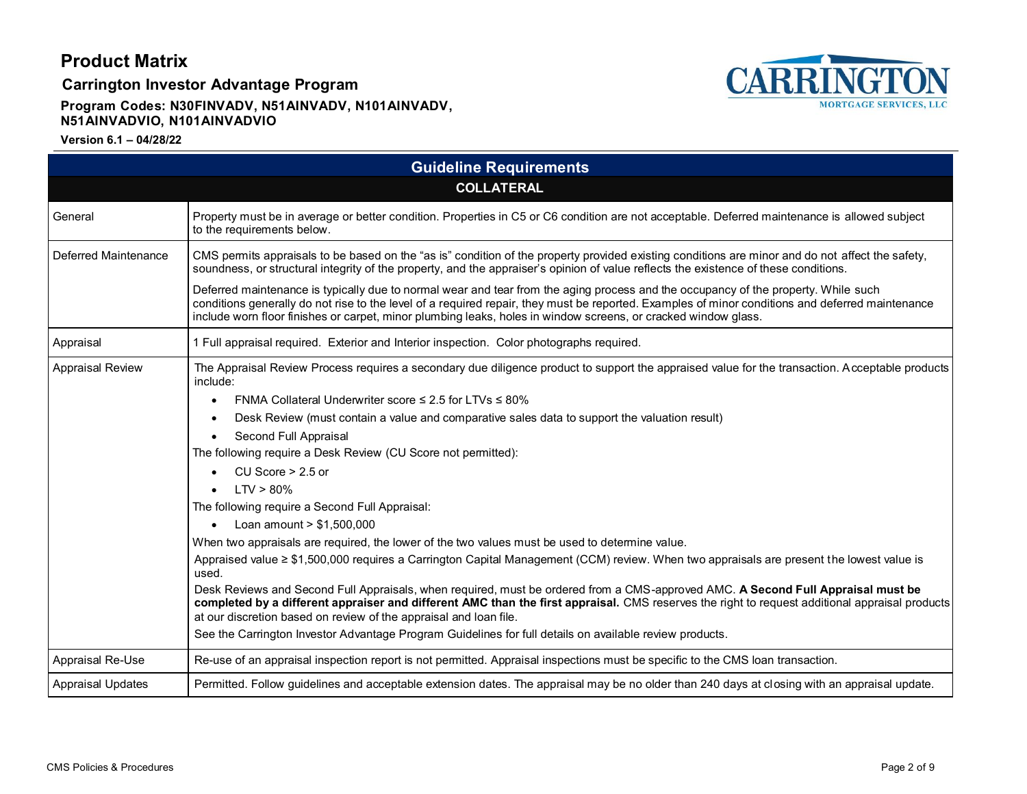**Carrington Investor Advantage Program**



### **Program Codes: N30FINVADV, N51AINVADV, N101AINVADV, N51AINVADVIO, N101AINVADVIO**

|                             | <b>Guideline Requirements</b>                                                                                                                                                                                                                                                                                                                                                                                                                                                                                                                                                                                                                                                                                                                                                                                                                                                                                                                                                                                                                                                                                                                                                                                                                                                                |
|-----------------------------|----------------------------------------------------------------------------------------------------------------------------------------------------------------------------------------------------------------------------------------------------------------------------------------------------------------------------------------------------------------------------------------------------------------------------------------------------------------------------------------------------------------------------------------------------------------------------------------------------------------------------------------------------------------------------------------------------------------------------------------------------------------------------------------------------------------------------------------------------------------------------------------------------------------------------------------------------------------------------------------------------------------------------------------------------------------------------------------------------------------------------------------------------------------------------------------------------------------------------------------------------------------------------------------------|
|                             | <b>COLLATERAL</b>                                                                                                                                                                                                                                                                                                                                                                                                                                                                                                                                                                                                                                                                                                                                                                                                                                                                                                                                                                                                                                                                                                                                                                                                                                                                            |
| General                     | Property must be in average or better condition. Properties in C5 or C6 condition are not acceptable. Deferred maintenance is allowed subject<br>to the requirements below.                                                                                                                                                                                                                                                                                                                                                                                                                                                                                                                                                                                                                                                                                                                                                                                                                                                                                                                                                                                                                                                                                                                  |
| <b>Deferred Maintenance</b> | CMS permits appraisals to be based on the "as is" condition of the property provided existing conditions are minor and do not affect the safety,<br>soundness, or structural integrity of the property, and the appraiser's opinion of value reflects the existence of these conditions.                                                                                                                                                                                                                                                                                                                                                                                                                                                                                                                                                                                                                                                                                                                                                                                                                                                                                                                                                                                                     |
|                             | Deferred maintenance is typically due to normal wear and tear from the aging process and the occupancy of the property. While such<br>conditions generally do not rise to the level of a required repair, they must be reported. Examples of minor conditions and deferred maintenance<br>include worn floor finishes or carpet, minor plumbing leaks, holes in window screens, or cracked window glass.                                                                                                                                                                                                                                                                                                                                                                                                                                                                                                                                                                                                                                                                                                                                                                                                                                                                                     |
| Appraisal                   | 1 Full appraisal required. Exterior and Interior inspection. Color photographs required.                                                                                                                                                                                                                                                                                                                                                                                                                                                                                                                                                                                                                                                                                                                                                                                                                                                                                                                                                                                                                                                                                                                                                                                                     |
| <b>Appraisal Review</b>     | The Appraisal Review Process requires a secondary due diligence product to support the appraised value for the transaction. Acceptable products<br>include:<br>FNMA Collateral Underwriter score $\leq 2.5$ for LTVs $\leq 80\%$<br>$\bullet$<br>Desk Review (must contain a value and comparative sales data to support the valuation result)<br>Second Full Appraisal<br>The following require a Desk Review (CU Score not permitted):<br>CU Score $> 2.5$ or<br>$LTV > 80\%$<br>The following require a Second Full Appraisal:<br>Loan amount $> $1,500,000$<br>When two appraisals are required, the lower of the two values must be used to determine value.<br>Appraised value ≥ \$1,500,000 requires a Carrington Capital Management (CCM) review. When two appraisals are present the lowest value is<br>used.<br>Desk Reviews and Second Full Appraisals, when required, must be ordered from a CMS-approved AMC. A Second Full Appraisal must be<br>completed by a different appraiser and different AMC than the first appraisal. CMS reserves the right to request additional appraisal products<br>at our discretion based on review of the appraisal and loan file.<br>See the Carrington Investor Advantage Program Guidelines for full details on available review products. |
| Appraisal Re-Use            | Re-use of an appraisal inspection report is not permitted. Appraisal inspections must be specific to the CMS loan transaction.                                                                                                                                                                                                                                                                                                                                                                                                                                                                                                                                                                                                                                                                                                                                                                                                                                                                                                                                                                                                                                                                                                                                                               |
| <b>Appraisal Updates</b>    | Permitted. Follow guidelines and acceptable extension dates. The appraisal may be no older than 240 days at closing with an appraisal update.                                                                                                                                                                                                                                                                                                                                                                                                                                                                                                                                                                                                                                                                                                                                                                                                                                                                                                                                                                                                                                                                                                                                                |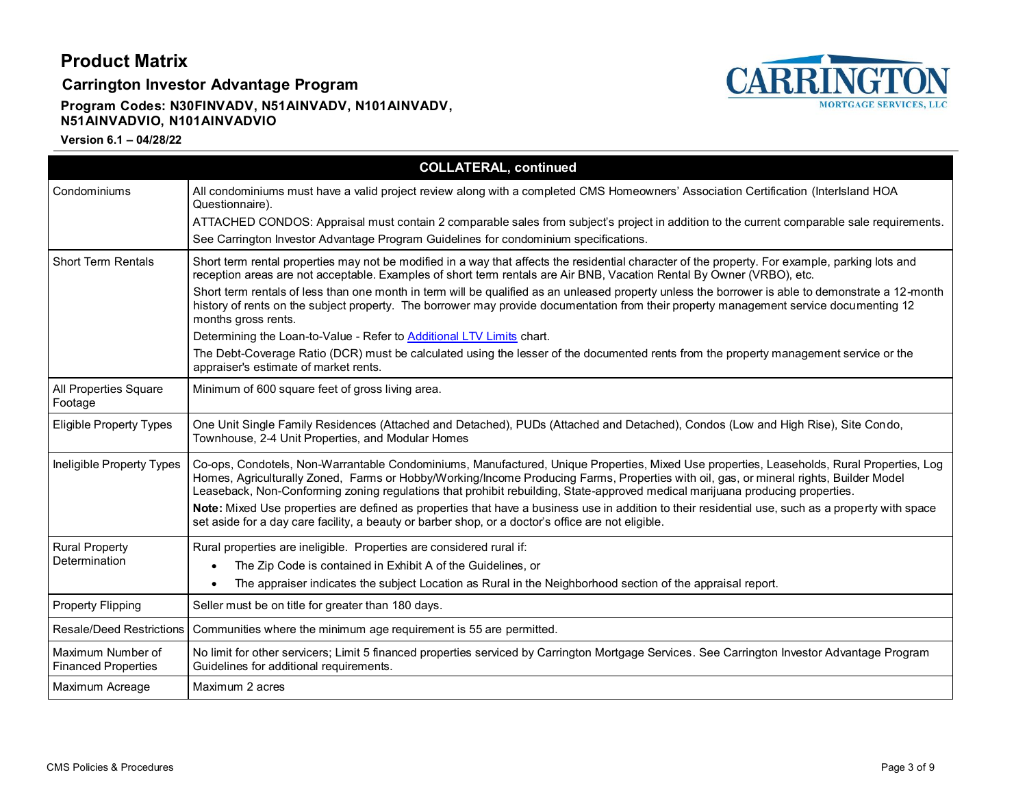**Carrington Investor Advantage Program**

### **Program Codes: N30FINVADV, N51AINVADV, N101AINVADV, N51AINVADVIO, N101AINVADVIO**



|                                                 | <b>COLLATERAL, continued</b>                                                                                                                                                                                                                                                                                                                                                                                         |
|-------------------------------------------------|----------------------------------------------------------------------------------------------------------------------------------------------------------------------------------------------------------------------------------------------------------------------------------------------------------------------------------------------------------------------------------------------------------------------|
| Condominiums                                    | All condominiums must have a valid project review along with a completed CMS Homeowners' Association Certification (Interlsland HOA<br>Questionnaire).                                                                                                                                                                                                                                                               |
|                                                 | ATTACHED CONDOS: Appraisal must contain 2 comparable sales from subject's project in addition to the current comparable sale requirements.                                                                                                                                                                                                                                                                           |
|                                                 | See Carrington Investor Advantage Program Guidelines for condominium specifications.                                                                                                                                                                                                                                                                                                                                 |
| <b>Short Term Rentals</b>                       | Short term rental properties may not be modified in a way that affects the residential character of the property. For example, parking lots and<br>reception areas are not acceptable. Examples of short term rentals are Air BNB, Vacation Rental By Owner (VRBO), etc.                                                                                                                                             |
|                                                 | Short term rentals of less than one month in term will be qualified as an unleased property unless the borrower is able to demonstrate a 12-month<br>history of rents on the subject property. The borrower may provide documentation from their property management service documenting 12<br>months gross rents.                                                                                                   |
|                                                 | Determining the Loan-to-Value - Refer to Additional LTV Limits chart.                                                                                                                                                                                                                                                                                                                                                |
|                                                 | The Debt-Coverage Ratio (DCR) must be calculated using the lesser of the documented rents from the property management service or the<br>appraiser's estimate of market rents.                                                                                                                                                                                                                                       |
| All Properties Square<br>Footage                | Minimum of 600 square feet of gross living area.                                                                                                                                                                                                                                                                                                                                                                     |
| <b>Eligible Property Types</b>                  | One Unit Single Family Residences (Attached and Detached), PUDs (Attached and Detached), Condos (Low and High Rise), Site Condo,<br>Townhouse, 2-4 Unit Properties, and Modular Homes                                                                                                                                                                                                                                |
| Ineligible Property Types                       | Co-ops, Condotels, Non-Warrantable Condominiums, Manufactured, Unique Properties, Mixed Use properties, Leaseholds, Rural Properties, Log<br>Homes, Agriculturally Zoned, Farms or Hobby/Working/Income Producing Farms, Properties with oil, gas, or mineral rights, Builder Model<br>Leaseback, Non-Conforming zoning regulations that prohibit rebuilding, State-approved medical marijuana producing properties. |
|                                                 | Note: Mixed Use properties are defined as properties that have a business use in addition to their residential use, such as a property with space<br>set aside for a day care facility, a beauty or barber shop, or a doctor's office are not eligible.                                                                                                                                                              |
| <b>Rural Property</b>                           | Rural properties are ineligible. Properties are considered rural if:                                                                                                                                                                                                                                                                                                                                                 |
| Determination                                   | The Zip Code is contained in Exhibit A of the Guidelines, or                                                                                                                                                                                                                                                                                                                                                         |
|                                                 | The appraiser indicates the subject Location as Rural in the Neighborhood section of the appraisal report.                                                                                                                                                                                                                                                                                                           |
| <b>Property Flipping</b>                        | Seller must be on title for greater than 180 days.                                                                                                                                                                                                                                                                                                                                                                   |
| <b>Resale/Deed Restrictions</b>                 | Communities where the minimum age requirement is 55 are permitted.                                                                                                                                                                                                                                                                                                                                                   |
| Maximum Number of<br><b>Financed Properties</b> | No limit for other servicers; Limit 5 financed properties serviced by Carrington Mortgage Services. See Carrington Investor Advantage Program<br>Guidelines for additional requirements.                                                                                                                                                                                                                             |
| Maximum Acreage                                 | Maximum 2 acres                                                                                                                                                                                                                                                                                                                                                                                                      |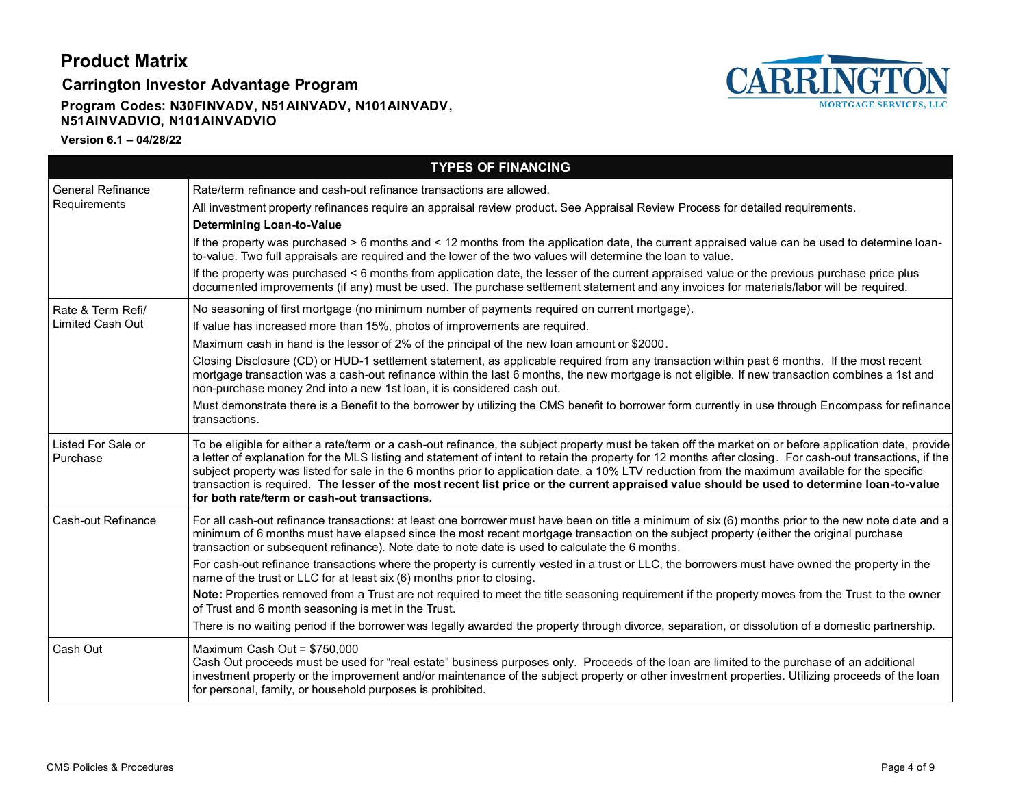**Carrington Investor Advantage Program**

### **Program Codes: N30FINVADV, N51AINVADV, N101AINVADV, N51AINVADVIO, N101AINVADVIO**



|                                              | <b>TYPES OF FINANCING</b>                                                                                                                                                                                                                                                                                                                                                                                                                                                                                                                                                                                                                                                                                                                                                                                                                                                                                                                                                                      |
|----------------------------------------------|------------------------------------------------------------------------------------------------------------------------------------------------------------------------------------------------------------------------------------------------------------------------------------------------------------------------------------------------------------------------------------------------------------------------------------------------------------------------------------------------------------------------------------------------------------------------------------------------------------------------------------------------------------------------------------------------------------------------------------------------------------------------------------------------------------------------------------------------------------------------------------------------------------------------------------------------------------------------------------------------|
| <b>General Refinance</b><br>Requirements     | Rate/term refinance and cash-out refinance transactions are allowed.<br>All investment property refinances require an appraisal review product. See Appraisal Review Process for detailed requirements.<br><b>Determining Loan-to-Value</b><br>If the property was purchased > 6 months and < 12 months from the application date, the current appraised value can be used to determine loan-<br>to-value. Two full appraisals are required and the lower of the two values will determine the loan to value.<br>If the property was purchased < 6 months from application date, the lesser of the current appraised value or the previous purchase price plus<br>documented improvements (if any) must be used. The purchase settlement statement and any invoices for materials/labor will be required.                                                                                                                                                                                      |
| Rate & Term Refi/<br><b>Limited Cash Out</b> | No seasoning of first mortgage (no minimum number of payments required on current mortgage).<br>If value has increased more than 15%, photos of improvements are required.<br>Maximum cash in hand is the lessor of 2% of the principal of the new loan amount or \$2000.<br>Closing Disclosure (CD) or HUD-1 settlement statement, as applicable required from any transaction within past 6 months. If the most recent<br>mortgage transaction was a cash-out refinance within the last 6 months, the new mortgage is not eligible. If new transaction combines a 1st and<br>non-purchase money 2nd into a new 1st loan, it is considered cash out.<br>Must demonstrate there is a Benefit to the borrower by utilizing the CMS benefit to borrower form currently in use through Encompass for refinance<br>transactions.                                                                                                                                                                   |
| Listed For Sale or<br>Purchase               | To be eligible for either a rate/term or a cash-out refinance, the subject property must be taken off the market on or before application date, provide<br>a letter of explanation for the MLS listing and statement of intent to retain the property for 12 months after closing. For cash-out transactions, if the<br>subject property was listed for sale in the 6 months prior to application date, a 10% LTV reduction from the maximum available for the specific<br>transaction is required. The lesser of the most recent list price or the current appraised value should be used to determine loan-to-value<br>for both rate/term or cash-out transactions.                                                                                                                                                                                                                                                                                                                          |
| Cash-out Refinance                           | For all cash-out refinance transactions: at least one borrower must have been on title a minimum of six (6) months prior to the new note date and a<br>minimum of 6 months must have elapsed since the most recent mortgage transaction on the subject property (either the original purchase<br>transaction or subsequent refinance). Note date to note date is used to calculate the 6 months.<br>For cash-out refinance transactions where the property is currently vested in a trust or LLC, the borrowers must have owned the property in the<br>name of the trust or LLC for at least six (6) months prior to closing.<br>Note: Properties removed from a Trust are not required to meet the title seasoning requirement if the property moves from the Trust to the owner<br>of Trust and 6 month seasoning is met in the Trust.<br>There is no waiting period if the borrower was legally awarded the property through divorce, separation, or dissolution of a domestic partnership. |
| Cash Out                                     | Maximum Cash Out = \$750,000<br>Cash Out proceeds must be used for "real estate" business purposes only. Proceeds of the loan are limited to the purchase of an additional<br>investment property or the improvement and/or maintenance of the subject property or other investment properties. Utilizing proceeds of the loan<br>for personal, family, or household purposes is prohibited.                                                                                                                                                                                                                                                                                                                                                                                                                                                                                                                                                                                                   |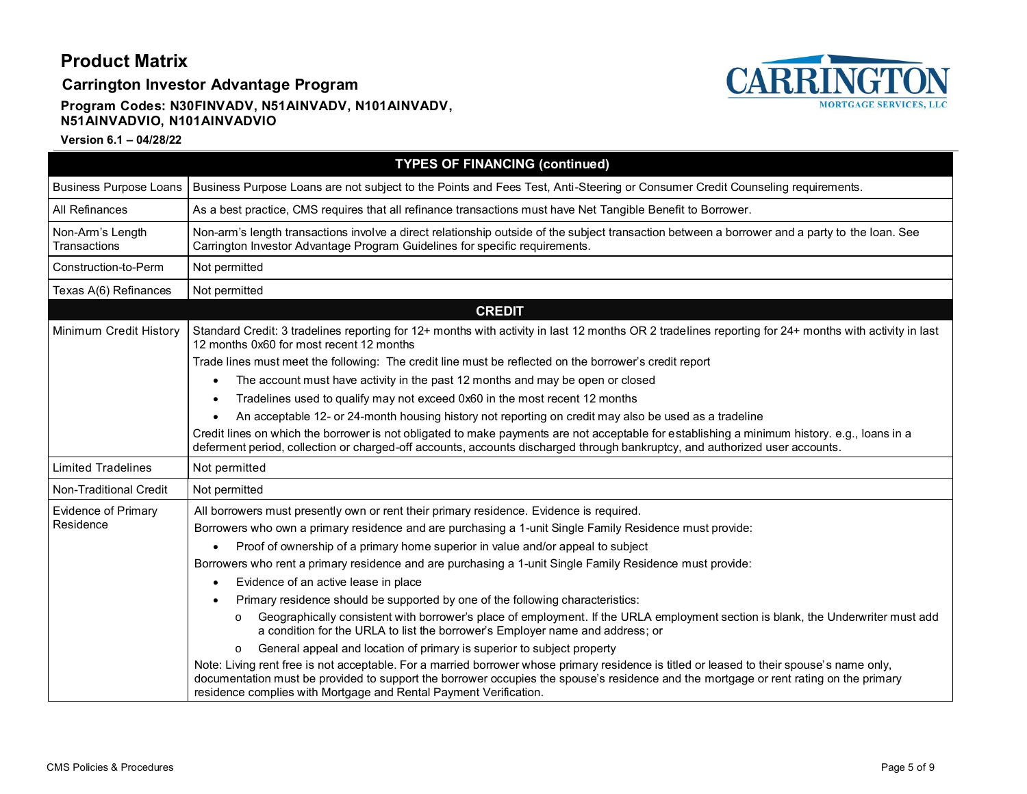**Carrington Investor Advantage Program**

### **Program Codes: N30FINVADV, N51AINVADV, N101AINVADV, N51AINVADVIO, N101AINVADVIO**



|                                  | <b>TYPES OF FINANCING (continued)</b>                                                                                                                                                                                                                                                                                                                   |  |  |  |
|----------------------------------|---------------------------------------------------------------------------------------------------------------------------------------------------------------------------------------------------------------------------------------------------------------------------------------------------------------------------------------------------------|--|--|--|
| <b>Business Purpose Loans</b>    | Business Purpose Loans are not subject to the Points and Fees Test, Anti-Steering or Consumer Credit Counseling requirements.                                                                                                                                                                                                                           |  |  |  |
| All Refinances                   | As a best practice, CMS requires that all refinance transactions must have Net Tangible Benefit to Borrower.                                                                                                                                                                                                                                            |  |  |  |
| Non-Arm's Length<br>Transactions | Non-arm's length transactions involve a direct relationship outside of the subject transaction between a borrower and a party to the loan. See<br>Carrington Investor Advantage Program Guidelines for specific requirements.                                                                                                                           |  |  |  |
| Construction-to-Perm             | Not permitted                                                                                                                                                                                                                                                                                                                                           |  |  |  |
| Texas A(6) Refinances            | Not permitted                                                                                                                                                                                                                                                                                                                                           |  |  |  |
|                                  | <b>CREDIT</b>                                                                                                                                                                                                                                                                                                                                           |  |  |  |
| Minimum Credit History           | Standard Credit: 3 tradelines reporting for 12+ months with activity in last 12 months OR 2 tradelines reporting for 24+ months with activity in last<br>12 months 0x60 for most recent 12 months                                                                                                                                                       |  |  |  |
|                                  | Trade lines must meet the following: The credit line must be reflected on the borrower's credit report                                                                                                                                                                                                                                                  |  |  |  |
|                                  | The account must have activity in the past 12 months and may be open or closed                                                                                                                                                                                                                                                                          |  |  |  |
|                                  | Tradelines used to qualify may not exceed 0x60 in the most recent 12 months                                                                                                                                                                                                                                                                             |  |  |  |
|                                  | An acceptable 12- or 24-month housing history not reporting on credit may also be used as a tradeline                                                                                                                                                                                                                                                   |  |  |  |
|                                  | Credit lines on which the borrower is not obligated to make payments are not acceptable for establishing a minimum history. e.g., loans in a<br>deferment period, collection or charged-off accounts, accounts discharged through bankruptcy, and authorized user accounts.                                                                             |  |  |  |
| <b>Limited Tradelines</b>        | Not permitted                                                                                                                                                                                                                                                                                                                                           |  |  |  |
| Non-Traditional Credit           | Not permitted                                                                                                                                                                                                                                                                                                                                           |  |  |  |
| <b>Evidence of Primary</b>       | All borrowers must presently own or rent their primary residence. Evidence is required.                                                                                                                                                                                                                                                                 |  |  |  |
| Residence                        | Borrowers who own a primary residence and are purchasing a 1-unit Single Family Residence must provide:                                                                                                                                                                                                                                                 |  |  |  |
|                                  | Proof of ownership of a primary home superior in value and/or appeal to subject<br>$\bullet$                                                                                                                                                                                                                                                            |  |  |  |
|                                  | Borrowers who rent a primary residence and are purchasing a 1-unit Single Family Residence must provide:                                                                                                                                                                                                                                                |  |  |  |
|                                  | Evidence of an active lease in place                                                                                                                                                                                                                                                                                                                    |  |  |  |
|                                  | Primary residence should be supported by one of the following characteristics:                                                                                                                                                                                                                                                                          |  |  |  |
|                                  | Geographically consistent with borrower's place of employment. If the URLA employment section is blank, the Underwriter must add<br>$\circ$<br>a condition for the URLA to list the borrower's Employer name and address; or                                                                                                                            |  |  |  |
|                                  | General appeal and location of primary is superior to subject property<br>$\circ$                                                                                                                                                                                                                                                                       |  |  |  |
|                                  | Note: Living rent free is not acceptable. For a married borrower whose primary residence is titled or leased to their spouse's name only,<br>documentation must be provided to support the borrower occupies the spouse's residence and the mortgage or rent rating on the primary<br>residence complies with Mortgage and Rental Payment Verification. |  |  |  |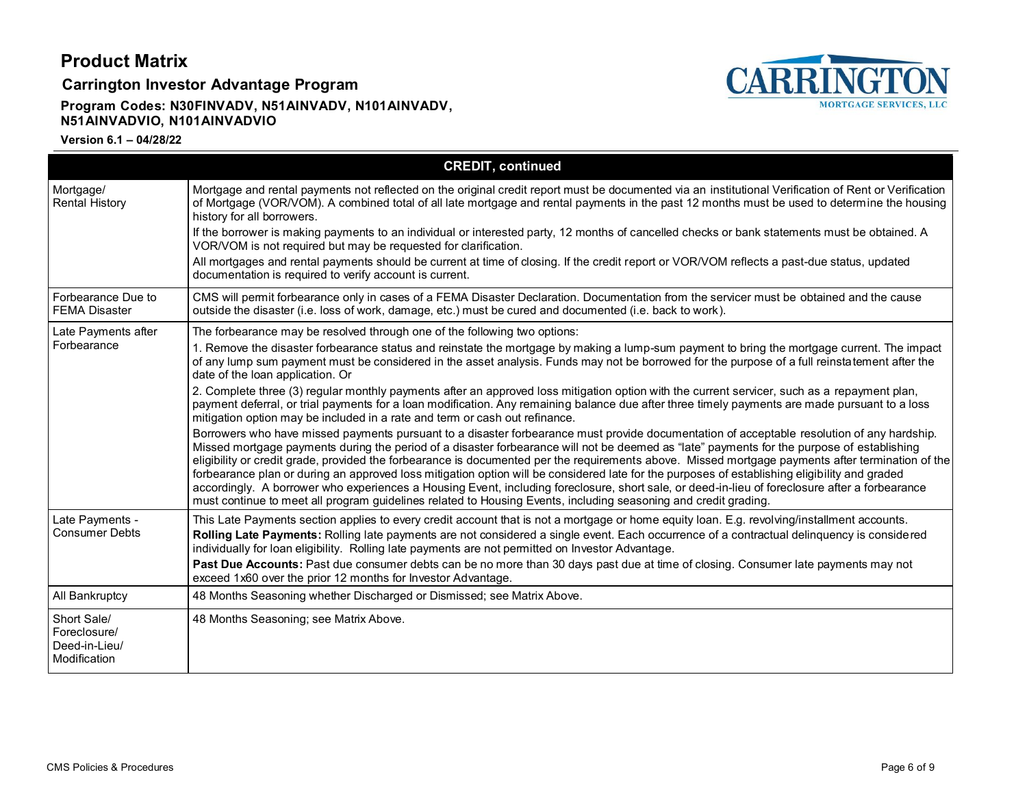**Carrington Investor Advantage Program**

### **Program Codes: N30FINVADV, N51AINVADV, N101AINVADV, N51AINVADVIO, N101AINVADVIO**



|                                                              | <b>CREDIT, continued</b>                                                                                                                                                                                                                                                                                                                                                                                                                                                                                                                                                                                                                                                                                                                                                                                                                                            |
|--------------------------------------------------------------|---------------------------------------------------------------------------------------------------------------------------------------------------------------------------------------------------------------------------------------------------------------------------------------------------------------------------------------------------------------------------------------------------------------------------------------------------------------------------------------------------------------------------------------------------------------------------------------------------------------------------------------------------------------------------------------------------------------------------------------------------------------------------------------------------------------------------------------------------------------------|
| Mortgage/<br><b>Rental History</b>                           | Mortgage and rental payments not reflected on the original credit report must be documented via an institutional Verification of Rent or Verification<br>of Mortgage (VOR/VOM). A combined total of all late mortgage and rental payments in the past 12 months must be used to determine the housing<br>history for all borrowers.                                                                                                                                                                                                                                                                                                                                                                                                                                                                                                                                 |
|                                                              | If the borrower is making payments to an individual or interested party, 12 months of cancelled checks or bank statements must be obtained. A<br>VOR/VOM is not required but may be requested for clarification.                                                                                                                                                                                                                                                                                                                                                                                                                                                                                                                                                                                                                                                    |
|                                                              | All mortgages and rental payments should be current at time of closing. If the credit report or VOR/VOM reflects a past-due status, updated<br>documentation is required to verify account is current.                                                                                                                                                                                                                                                                                                                                                                                                                                                                                                                                                                                                                                                              |
| Forbearance Due to<br><b>FEMA Disaster</b>                   | CMS will permit forbearance only in cases of a FEMA Disaster Declaration. Documentation from the servicer must be obtained and the cause<br>outside the disaster (i.e. loss of work, damage, etc.) must be cured and documented (i.e. back to work).                                                                                                                                                                                                                                                                                                                                                                                                                                                                                                                                                                                                                |
| Late Payments after                                          | The forbearance may be resolved through one of the following two options:                                                                                                                                                                                                                                                                                                                                                                                                                                                                                                                                                                                                                                                                                                                                                                                           |
| Forbearance                                                  | 1. Remove the disaster forbearance status and reinstate the mortgage by making a lump-sum payment to bring the mortgage current. The impact<br>of any lump sum payment must be considered in the asset analysis. Funds may not be borrowed for the purpose of a full reinstatement after the<br>date of the loan application. Or                                                                                                                                                                                                                                                                                                                                                                                                                                                                                                                                    |
|                                                              | 2. Complete three (3) regular monthly payments after an approved loss mitigation option with the current servicer, such as a repayment plan,<br>payment deferral, or trial payments for a loan modification. Any remaining balance due after three timely payments are made pursuant to a loss<br>mitigation option may be included in a rate and term or cash out refinance.                                                                                                                                                                                                                                                                                                                                                                                                                                                                                       |
|                                                              | Borrowers who have missed payments pursuant to a disaster forbearance must provide documentation of acceptable resolution of any hardship.<br>Missed mortgage payments during the period of a disaster forbearance will not be deemed as "late" payments for the purpose of establishing<br>eligibility or credit grade, provided the forbearance is documented per the requirements above. Missed mortgage payments after termination of the<br>forbearance plan or during an approved loss mitigation option will be considered late for the purposes of establishing eligibility and graded<br>accordingly. A borrower who experiences a Housing Event, including foreclosure, short sale, or deed-in-lieu of foreclosure after a forbearance<br>must continue to meet all program guidelines related to Housing Events, including seasoning and credit grading. |
| Late Payments -<br><b>Consumer Debts</b>                     | This Late Payments section applies to every credit account that is not a mortgage or home equity loan. E.g. revolving/installment accounts.<br>Rolling Late Payments: Rolling late payments are not considered a single event. Each occurrence of a contractual delinquency is considered<br>individually for loan eligibility. Rolling late payments are not permitted on Investor Advantage.                                                                                                                                                                                                                                                                                                                                                                                                                                                                      |
|                                                              | Past Due Accounts: Past due consumer debts can be no more than 30 days past due at time of closing. Consumer late payments may not<br>exceed 1x60 over the prior 12 months for Investor Advantage.                                                                                                                                                                                                                                                                                                                                                                                                                                                                                                                                                                                                                                                                  |
| All Bankruptcy                                               | 48 Months Seasoning whether Discharged or Dismissed; see Matrix Above.                                                                                                                                                                                                                                                                                                                                                                                                                                                                                                                                                                                                                                                                                                                                                                                              |
| Short Sale/<br>Foreclosure/<br>Deed-in-Lieu/<br>Modification | 48 Months Seasoning; see Matrix Above.                                                                                                                                                                                                                                                                                                                                                                                                                                                                                                                                                                                                                                                                                                                                                                                                                              |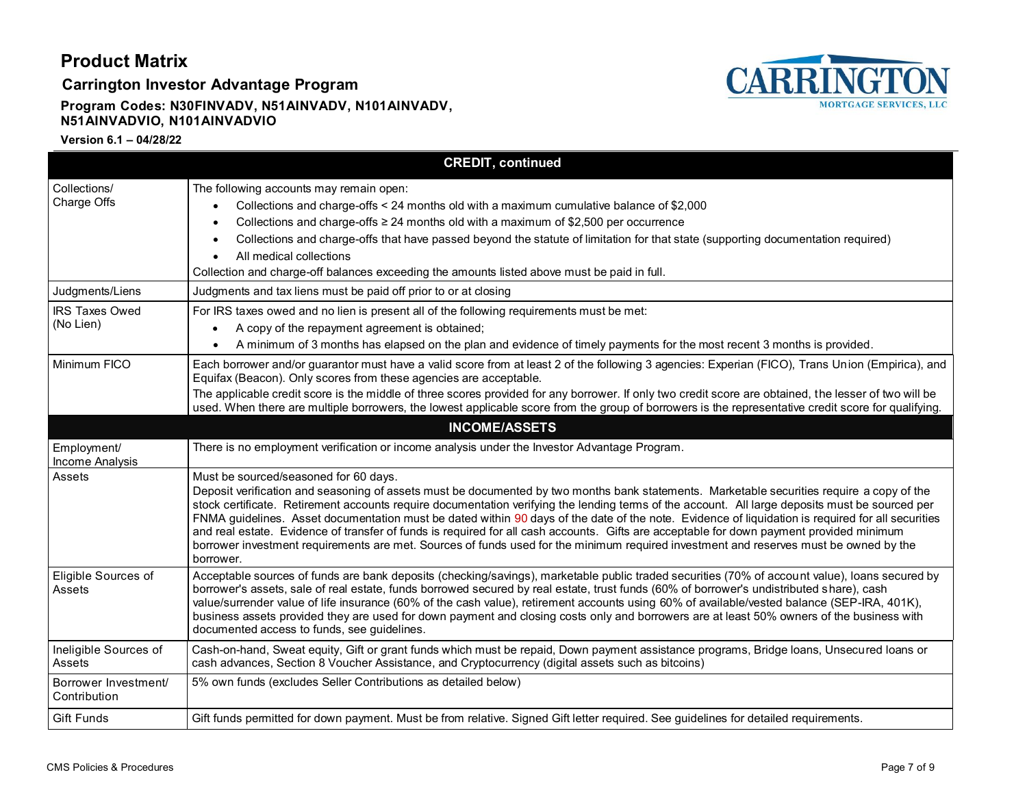**Carrington Investor Advantage Program**

#### **Program Codes: N30FINVADV, N51AINVADV, N101AINVADV, N51AINVADVIO, N101AINVADVIO**



|                                      | <b>CREDIT, continued</b>                                                                                                                                                                                                                                                                                                                                                                                                                                                                                                                                                                                                                                                                                                                                                                      |
|--------------------------------------|-----------------------------------------------------------------------------------------------------------------------------------------------------------------------------------------------------------------------------------------------------------------------------------------------------------------------------------------------------------------------------------------------------------------------------------------------------------------------------------------------------------------------------------------------------------------------------------------------------------------------------------------------------------------------------------------------------------------------------------------------------------------------------------------------|
| Collections/<br>Charge Offs          | The following accounts may remain open:<br>Collections and charge-offs < 24 months old with a maximum cumulative balance of \$2,000<br>Collections and charge-offs $\geq$ 24 months old with a maximum of \$2,500 per occurrence<br>Collections and charge-offs that have passed beyond the statute of limitation for that state (supporting documentation required)<br>All medical collections<br>$\bullet$<br>Collection and charge-off balances exceeding the amounts listed above must be paid in full.                                                                                                                                                                                                                                                                                   |
| Judgments/Liens                      | Judgments and tax liens must be paid off prior to or at closing                                                                                                                                                                                                                                                                                                                                                                                                                                                                                                                                                                                                                                                                                                                               |
| <b>IRS Taxes Owed</b><br>(No Lien)   | For IRS taxes owed and no lien is present all of the following requirements must be met:<br>A copy of the repayment agreement is obtained;<br>A minimum of 3 months has elapsed on the plan and evidence of timely payments for the most recent 3 months is provided.                                                                                                                                                                                                                                                                                                                                                                                                                                                                                                                         |
| Minimum FICO                         | Each borrower and/or guarantor must have a valid score from at least 2 of the following 3 agencies: Experian (FICO), Trans Union (Empirica), and<br>Equifax (Beacon). Only scores from these agencies are acceptable.<br>The applicable credit score is the middle of three scores provided for any borrower. If only two credit score are obtained, the lesser of two will be<br>used. When there are multiple borrowers, the lowest applicable score from the group of borrowers is the representative credit score for qualifying.                                                                                                                                                                                                                                                         |
|                                      | <b>INCOME/ASSETS</b>                                                                                                                                                                                                                                                                                                                                                                                                                                                                                                                                                                                                                                                                                                                                                                          |
| Employment/<br>Income Analysis       | There is no employment verification or income analysis under the Investor Advantage Program.                                                                                                                                                                                                                                                                                                                                                                                                                                                                                                                                                                                                                                                                                                  |
| Assets                               | Must be sourced/seasoned for 60 days.<br>Deposit verification and seasoning of assets must be documented by two months bank statements. Marketable securities require a copy of the<br>stock certificate. Retirement accounts require documentation verifying the lending terms of the account. All large deposits must be sourced per<br>FNMA guidelines. Asset documentation must be dated within 90 days of the date of the note. Evidence of liquidation is required for all securities<br>and real estate. Evidence of transfer of funds is required for all cash accounts. Gifts are acceptable for down payment provided minimum<br>borrower investment requirements are met. Sources of funds used for the minimum required investment and reserves must be owned by the<br>borrower. |
| Eligible Sources of<br>Assets        | Acceptable sources of funds are bank deposits (checking/savings), marketable public traded securities (70% of account value), loans secured by<br>borrower's assets, sale of real estate, funds borrowed secured by real estate, trust funds (60% of borrower's undistributed share), cash<br>value/surrender value of life insurance (60% of the cash value), retirement accounts using 60% of available/vested balance (SEP-IRA, 401K),<br>business assets provided they are used for down payment and closing costs only and borrowers are at least 50% owners of the business with<br>documented access to funds, see guidelines.                                                                                                                                                         |
| Ineligible Sources of<br>Assets      | Cash-on-hand, Sweat equity, Gift or grant funds which must be repaid, Down payment assistance programs, Bridge loans, Unsecured loans or<br>cash advances, Section 8 Voucher Assistance, and Cryptocurrency (digital assets such as bitcoins)                                                                                                                                                                                                                                                                                                                                                                                                                                                                                                                                                 |
| Borrower Investment/<br>Contribution | 5% own funds (excludes Seller Contributions as detailed below)                                                                                                                                                                                                                                                                                                                                                                                                                                                                                                                                                                                                                                                                                                                                |
| Gift Funds                           | Gift funds permitted for down payment. Must be from relative. Signed Gift letter required. See guidelines for detailed requirements.                                                                                                                                                                                                                                                                                                                                                                                                                                                                                                                                                                                                                                                          |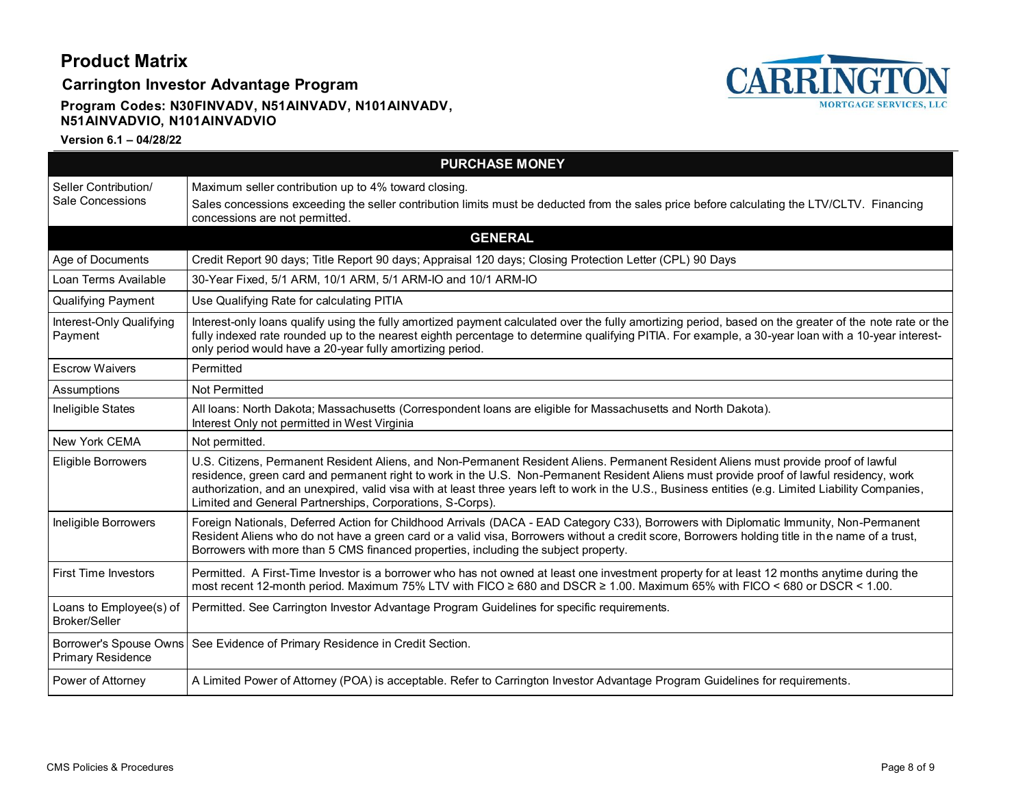**Carrington Investor Advantage Program**

### **Program Codes: N30FINVADV, N51AINVADV, N101AINVADV, N51AINVADVIO, N101AINVADVIO**



| <b>PURCHASE MONEY</b>                           |                                                                                                                                                                                                                                                                                                                                                                                                                                                                                                      |  |  |
|-------------------------------------------------|------------------------------------------------------------------------------------------------------------------------------------------------------------------------------------------------------------------------------------------------------------------------------------------------------------------------------------------------------------------------------------------------------------------------------------------------------------------------------------------------------|--|--|
| Seller Contribution/<br>Sale Concessions        | Maximum seller contribution up to 4% toward closing.<br>Sales concessions exceeding the seller contribution limits must be deducted from the sales price before calculating the LTV/CLTV. Financing<br>concessions are not permitted.                                                                                                                                                                                                                                                                |  |  |
|                                                 | <b>GENERAL</b>                                                                                                                                                                                                                                                                                                                                                                                                                                                                                       |  |  |
| Age of Documents                                | Credit Report 90 days; Title Report 90 days; Appraisal 120 days; Closing Protection Letter (CPL) 90 Days                                                                                                                                                                                                                                                                                                                                                                                             |  |  |
| Loan Terms Available                            | 30-Year Fixed, 5/1 ARM, 10/1 ARM, 5/1 ARM-IO and 10/1 ARM-IO                                                                                                                                                                                                                                                                                                                                                                                                                                         |  |  |
| <b>Qualifying Payment</b>                       | Use Qualifying Rate for calculating PITIA                                                                                                                                                                                                                                                                                                                                                                                                                                                            |  |  |
| Interest-Only Qualifying<br>Payment             | Interest-only loans qualify using the fully amortized payment calculated over the fully amortizing period, based on the greater of the note rate or the<br>fully indexed rate rounded up to the nearest eighth percentage to determine qualifying PITIA. For example, a 30-year loan with a 10-year interest-<br>only period would have a 20-year fully amortizing period.                                                                                                                           |  |  |
| <b>Escrow Waivers</b>                           | Permitted                                                                                                                                                                                                                                                                                                                                                                                                                                                                                            |  |  |
| Assumptions                                     | Not Permitted                                                                                                                                                                                                                                                                                                                                                                                                                                                                                        |  |  |
| Ineligible States                               | All loans: North Dakota; Massachusetts (Correspondent loans are eligible for Massachusetts and North Dakota).<br>Interest Only not permitted in West Virginia                                                                                                                                                                                                                                                                                                                                        |  |  |
| New York CEMA                                   | Not permitted.                                                                                                                                                                                                                                                                                                                                                                                                                                                                                       |  |  |
| Eligible Borrowers                              | U.S. Citizens, Permanent Resident Aliens, and Non-Permanent Resident Aliens. Permanent Resident Aliens must provide proof of lawful<br>residence, green card and permanent right to work in the U.S. Non-Permanent Resident Aliens must provide proof of lawful residency, work<br>authorization, and an unexpired, valid visa with at least three years left to work in the U.S., Business entities (e.g. Limited Liability Companies,<br>Limited and General Partnerships, Corporations, S-Corps). |  |  |
| Ineligible Borrowers                            | Foreign Nationals, Deferred Action for Childhood Arrivals (DACA - EAD Category C33), Borrowers with Diplomatic Immunity, Non-Permanent<br>Resident Aliens who do not have a green card or a valid visa, Borrowers without a credit score, Borrowers holding title in the name of a trust,<br>Borrowers with more than 5 CMS financed properties, including the subject property.                                                                                                                     |  |  |
| <b>First Time Investors</b>                     | Permitted. A First-Time Investor is a borrower who has not owned at least one investment property for at least 12 months anytime during the<br>most recent 12-month period. Maximum 75% LTV with FICO ≥ 680 and DSCR ≥ 1.00. Maximum 65% with FICO < 680 or DSCR < 1.00.                                                                                                                                                                                                                             |  |  |
| Loans to Employee(s) of<br><b>Broker/Seller</b> | Permitted. See Carrington Investor Advantage Program Guidelines for specific requirements.                                                                                                                                                                                                                                                                                                                                                                                                           |  |  |
| <b>Primary Residence</b>                        | Borrower's Spouse Owns   See Evidence of Primary Residence in Credit Section.                                                                                                                                                                                                                                                                                                                                                                                                                        |  |  |
| Power of Attorney                               | A Limited Power of Attorney (POA) is acceptable. Refer to Carrington Investor Advantage Program Guidelines for requirements.                                                                                                                                                                                                                                                                                                                                                                         |  |  |